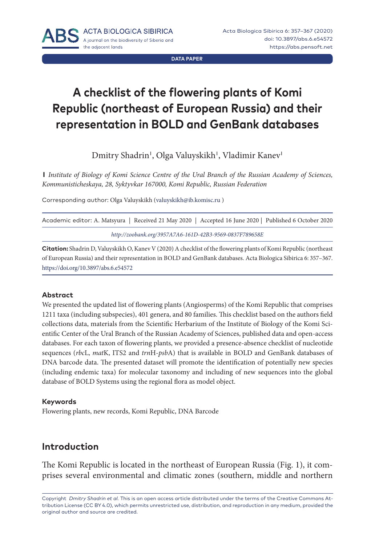**DATA PAPER**

# **A checklist of the flowering plants of Komi Republic (northeast of European Russia) and their representation in BOLD and GenBank databases**

Dmitry Shadrin', Olga Valuyskikh', Vladimir Kanev<sup>i</sup>

**1** *Institute of Biology of Komi Science Centre of the Ural Branch of the Russian Academy of Sciences, Kommunisticheskaya, 28, Syktyvkar 167000, Komi Republic, Russian Federation*

Corresponding author: Olga Valuyskikh ([valuyskikh@ib.komisc.ru](mailto:valuyskikh@ib.komisc.ru) )

| Academic editor: A. Matsyura   Received 21 May 2020   Accepted 16 June 2020   Published 6 October 2020 |  |
|--------------------------------------------------------------------------------------------------------|--|
| http://zoobank.org/3957A7A6-161D-42B3-9569-0837F789658E                                                |  |

**Citation:** Shadrin D, Valuyskikh O, Kanev V (2020) A checklist of the flowering plants of Komi Republic (northeast of European Russia) and their representation in BOLD and GenBank databases. Acta Biologica Sibirica 6: 357–367. <https://doi.org/10.3897/abs.6.e54572>

#### **Abstract**

We presented the updated list of flowering plants (Angiosperms) of the Komi Republic that comprises 1211 taxa (including subspecies), 401 genera, and 80 families. This checklist based on the authors field collections data, materials from the Scientific Herbarium of the Institute of Biology of the Komi Scientific Center of the Ural Branch of the Russian Academy of Sciences, published data and open-access databases. For each taxon of flowering plants, we provided a presence-absence checklist of nucleotide sequences (*rbc*L, *mat*K, ITS2 and *trn*H-*psb*A) that is available in BOLD and GenBank databases of DNA barcode data. The presented dataset will promote the identification of potentially new species (including endemic taxa) for molecular taxonomy and including of new sequences into the global database of BOLD Systems using the regional flora as model object.

#### **Keywords**

Flowering plants, new records, Komi Republic, DNA Barcode

# **Introduction**

The Komi Republic is located in the northeast of European Russia (Fig. 1), it comprises several environmental and climatic zones (southern, middle and northern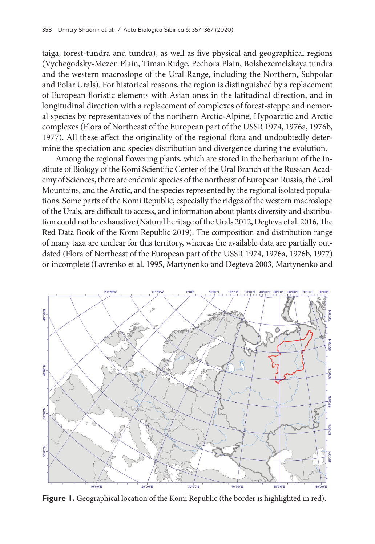taiga, forest-tundra and tundra), as well as five physical and geographical regions (Vychegodsky-Mezen Plain, Timan Ridge, Pechora Plain, Bolshezemelskaya tundra and the western macroslope of the Ural Range, including the Northern, Subpolar and Polar Urals). For historical reasons, the region is distinguished by a replacement of European floristic elements with Asian ones in the latitudinal direction, and in longitudinal direction with a replacement of complexes of forest-steppe and nemoral species by representatives of the northern Arctic-Alpine, Hypoarctic and Arctic complexes (Flora of Northeast of the European part of the USSR 1974, 1976a, 1976b, 1977). All these affect the originality of the regional flora and undoubtedly determine the speciation and species distribution and divergence during the evolution.

Among the regional flowering plants, which are stored in the herbarium of the Institute of Biology of the Komi Scientific Center of the Ural Branch of the Russian Academy of Sciences, there are endemic species of the northeast of European Russia, the Ural Mountains, and the Arctic, and the species represented by the regional isolated populations. Some parts of the Komi Republic, especially the ridges of the western macroslope of the Urals, are difficult to access, and information about plants diversity and distribution could not be exhaustive (Natural heritage of the Urals 2012, Degteva et al. 2016, The Red Data Book of the Komi Republic 2019). The composition and distribution range of many taxa are unclear for this territory, whereas the available data are partially outdated (Flora of Northeast of the European part of the USSR 1974, 1976a, 1976b, 1977) or incomplete (Lavrenko et al. 1995, Martynenko and Degteva 2003, Martynenko and



**Figure 1.** Geographical location of the Komi Republic (the border is highlighted in red).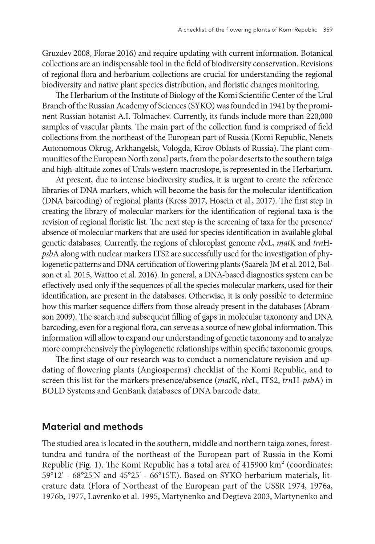Gruzdev 2008, Florae 2016) and require updating with current information. Botanical collections are an indispensable tool in the field of biodiversity conservation. Revisions of regional flora and herbarium collections are crucial for understanding the regional biodiversity and native plant species distribution, and floristic changes monitoring.

The Herbarium of the Institute of Biology of the Komi Scientific Center of the Ural Branch of the Russian Academy of Sciences (SYKO) was founded in 1941 by the prominent Russian botanist A.I. Tolmachev. Currently, its funds include more than 220,000 samples of vascular plants. The main part of the collection fund is comprised of field collections from the northeast of the European part of Russia (Komi Republic, Nenets Autonomous Okrug, Arkhangelsk, Vologda, Kirov Oblasts of Russia). The plant communities of the European North zonal parts, from the polar deserts to the southern taiga and high-altitude zones of Urals western macroslope, is represented in the Herbarium.

At present, due to intense biodiversity studies, it is urgent to create the reference libraries of DNA markers, which will become the basis for the molecular identification (DNA barcoding) of regional plants (Kress 2017, Hosein et al., 2017). The first step in creating the library of molecular markers for the identification of regional taxa is the revision of regional floristic list. The next step is the screening of taxa for the presence/ absence of molecular markers that are used for species identification in available global genetic databases. Currently, the regions of chloroplast genome *rbc*L, *mat*K and *trn*H*psb*A along with nuclear markers ITS2 are successfully used for the investigation of phylogenetic patterns and DNA certification of flowering plants (Saarela JM et al. 2012, Bolson et al. 2015, Wattoo et al. 2016). In general, a DNA-based diagnostics system can be effectively used only if the sequences of all the species molecular markers, used for their identification, are present in the databases. Otherwise, it is only possible to determine how this marker sequence differs from those already present in the databases (Abramson 2009). The search and subsequent filling of gaps in molecular taxonomy and DNA barcoding, even for a regional flora, can serve as a source of new global information. This information will allow to expand our understanding of genetic taxonomy and to analyze more comprehensively the phylogenetic relationships within specific taxonomic groups.

The first stage of our research was to conduct a nomenclature revision and updating of flowering plants (Angiosperms) checklist of the Komi Republic, and to screen this list for the markers presence/absence (*mat*K, *rbc*L, ITS2, *trn*H-*psb*A) in BOLD Systems and GenBank databases of DNA barcode data.

#### **Material and methods**

The studied area is located in the southern, middle and northern taiga zones, foresttundra and tundra of the northeast of the European part of Russia in the Komi Republic (Fig. 1). The Komi Republic has a total area of 415900 km<sup>2</sup> (coordinates: 59°12' - 68°25'N and 45°25' - 66°15'E). Based on SYKO herbarium materials, literature data (Flora of Northeast of the European part of the USSR 1974, 1976a, 1976b, 1977, Lavrenko et al. 1995, Martynenko and Degteva 2003, Martynenko and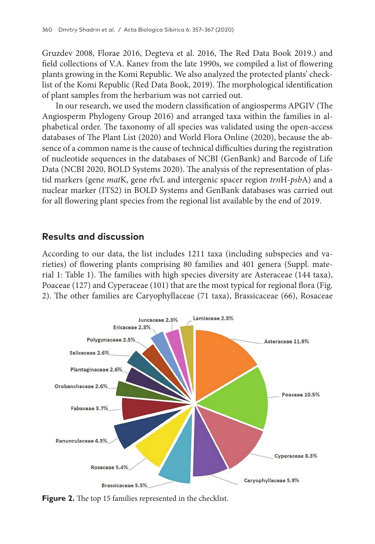Gruzdev 2008, Florae 2016, Degteva et al. 2016, The Red Data Book 2019.) and field collections of V.A. Kanev from the late 1990s, we compiled a list of flowering plants growing in the Komi Republic. We also analyzed the protected plants' checklist of the Komi Republic (Red Data Book, 2019). The morphological identification of plant samples from the herbarium was not carried out.

In our research, we used the modern classification of angiosperms APGIV (The Angiosperm Phylogeny Group 2016) and arranged taxa within the families in alphabetical order. The taxonomy of all species was validated using the open-access databases of The Plant List (2020) and World Flora Online (2020), because the absence of a common name is the cause of technical difficulties during the registration of nucleotide sequences in the databases of NCBI (GenBank) and Barcode of Life Data (NCBI 2020, BOLD Systems 2020). The analysis of the representation of plastid markers (gene *mat*K, gene *rbc*L and intergenic spacer region *trn*H-*psb*A) and a nuclear marker (ITS2) in BOLD Systems and GenBank databases was carried out for all flowering plant species from the regional list available by the end of 2019.

## **Results and discussion**

According to our data, the list includes 1211 taxa (including subspecies and varieties) of flowering plants comprising 80 families and 401 genera (Suppl. material 1: Table 1). The families with high species diversity are Asteraceae (144 taxa), Poaceae (127) and Cyperaceae (101) that are the most typical for regional flora (Fig. 2). The other families are Caryophyllaceae (71 taxa), Brassicaceae (66), Rosaceae



**Figure 2.** The top 15 families represented in the checklist.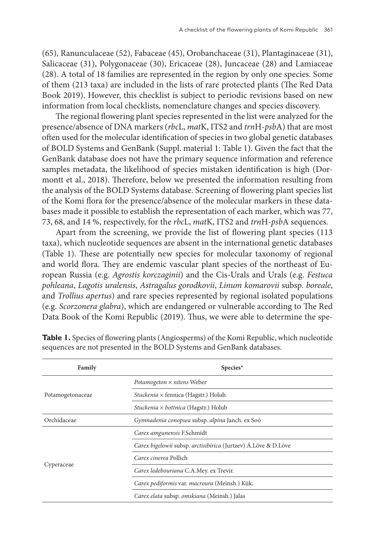(65), Ranunculaceae (52), Fabaceae (45), Orobanchaceae (31), Plantaginaceae (31), Salicaceae (31), Polygonaceae (30), Ericaceae (28), Juncaceae (28) and Lamiaceae (28). A total of 18 families are represented in the region by only one species. Some of them (213 taxa) are included in the lists of rare protected plants (The Red Data Book 2019). However, this checklist is subject to periodic revisions based on new information from local checklists, nomenclature changes and species discovery.

The regional flowering plant species represented in the list were analyzed for the presence/absence of DNA markers (*rbc*L, *mat*K, ITS2 and *trn*H-*psb*A) that are most often used for the molecular identification of species in two global genetic databases of BOLD Systems and GenBank (Suppl. material 1: Table 1). Given the fact that the GenBank database does not have the primary sequence information and reference samples metadata, the likelihood of species mistaken identification is high (Dormontt et al., 2018). Therefore, below we presented the information resulting from the analysis of the BOLD Systems database. Screening of flowering plant species list of the Komi flora for the presence/absence of the molecular markers in these databases made it possible to establish the representation of each marker, which was 77, 73, 68, and 14 %, respectively, for the *rbc*L, *mat*K, ITS2 and *trn*H-*psb*A sequences.

Apart from the screening, we provide the list of flowering plant species (113 taxa), which nucleotide sequences are absent in the international genetic databases (Table 1). These are potentially new species for molecular taxonomy of regional and world flora. They are endemic vascular plant species of the northeast of European Russia (e.g. *Agrostis korczaginii*) and the Cis-Urals and Urals (e.g. *Festuca pohleana*, *Lagotis uralensis*, *Astragalus gorodkovii*, *Linum komarovii* subsp. *boreale*, and *Trollius apertus*) and rare species represented by regional isolated populations (e.g. *Scorzonera glabra*), which are endangered or vulnerable according to The Red Data Book of the Komi Republic (2019). Thus, we were able to determine the spe-

| Family           | Species*                                                       |
|------------------|----------------------------------------------------------------|
| Potamogetonaceae | Potamogeton $\times$ nitens Weber                              |
|                  | Stuckenia × fennica (Hagstr.) Holub.                           |
|                  | Stuckenia × bottnica (Hagstr.) Holub                           |
| Orchidaceae      | Gymnadenia conopsea subsp. alpina Janch. ex Soó                |
| Cyperaceae       | Carex amgunensis F.Schmidt                                     |
|                  | Carex bigelowii subsp. arctisibirica (Jurtzev) Á.Löve & D.Löve |
|                  | Carex cinerea Pollich                                          |
|                  | Carex ledebouriana C.A.Mey. ex Trevir.                         |
|                  | Carex pediformis var. macroura (Meinsh.) Kük.                  |
|                  | Carex elata subsp. omskiana (Meinsh.) Jalas                    |

**Table 1.** Species of flowering plants (Angiosperms) of the Komi Republic, which nucleotide sequences are not presented in the BOLD Systems and GenBank databases.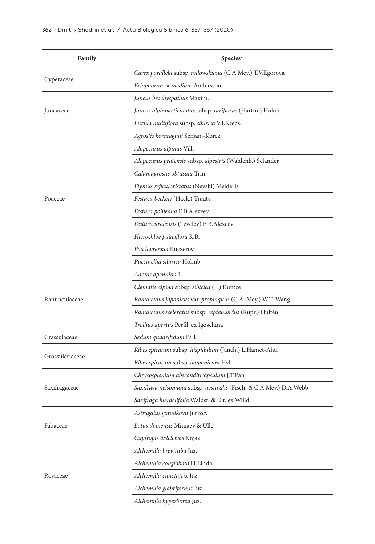| Family          | Species*                                                            |
|-----------------|---------------------------------------------------------------------|
|                 | Carex parallela subsp. redowskiana (C.A.Mey.) T.V.Egorova           |
| Cyperaceae      | Eriophorum × medium Andersson                                       |
|                 | Juncus brachyspathus Maxim.                                         |
| Juncaceae       | Juncus alpinoarticulatus subsp. rariflorus (Hartm.) Holub           |
|                 | Luzula multiflora subsp. sibirica V.I.Krecz.                        |
|                 | Agrostis korczaginii Senjan.-Korcz.                                 |
|                 | Alopecurus alpinus Vill.                                            |
|                 | Alopecurus pratensis subsp. alpestris (Wahlenb.) Selander           |
|                 | Calamagrostis obtusata Trin.                                        |
|                 | Elymus reflexiaristatus (Nevski) Melderis                           |
| Poaceae         | <i>Festuca beckeri</i> (Hack.) Trautv.                              |
|                 | Festuca pohleana E.B.Alexeev                                        |
|                 | <i>Festuca uralensis</i> (Tzvelev) E.B.Alexeev                      |
|                 | Hierochloe pauciflora R.Br.                                         |
|                 | Poa lavrenkoi Kuczerov                                              |
|                 | Puccinellia sibirica Holmb.                                         |
|                 | Adonis apennina L.                                                  |
|                 | Clematis alpina subsp. sibirica (L.) Kuntze                         |
| Ranunculaceae   | Ranunculus japonicus var. propinquus (C.A. Mey.) W.T. Wang          |
|                 | Ranunculus sceleratus subsp. reptabundus (Rupr.) Hultén             |
|                 | Trollius apertus Perfil. ex Igoschina                               |
| Crassulaceae    | Sedum quadrifidum Pall.                                             |
|                 | Ribes spicatum subsp. hispidulum (Janch.) L.Hämet-Ahti              |
| Grossulariaceae | Ribes spicatum subsp. lapponicum Hyl.                               |
|                 | Chrysosplenium absconditicapsulum J.T.Pan                           |
| Saxifragaceae   | Saxifraga nelsoniana subsp. aestivalis (Fisch. & C.A.Mey.) D.A.Webb |
|                 | Saxifraga hieraciifolia Waldst. & Kit. ex Willd.                    |
|                 | Astragalus gorodkovii Jurtzev                                       |
| Fabaceae        | Lotus dvinensis Miniaev & Ulle                                      |
|                 | Oxytropis ivdelensis Knjaz.                                         |
|                 | Alchemilla brevituba Juz.                                           |
|                 | Alchemilla conglobata H.Lindb.                                      |
| Rosaceae        | Alchemilla cunctatrix Juz.                                          |
|                 | Alchemilla glabriformis Juz.                                        |
|                 | Alchemilla hyperborea Juz.                                          |
|                 |                                                                     |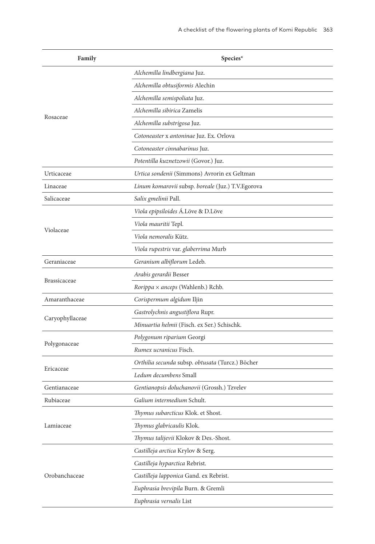| Family              | Species*                                          |
|---------------------|---------------------------------------------------|
|                     | Alchemilla lindbergiana Juz.                      |
|                     | Alchemilla obtusiformis Alechin                   |
|                     | Alchemilla semispoliata Juz.                      |
|                     | Alchemilla sibirica Zamelis                       |
| Rosaceae            | Alchemilla substrigosa Juz.                       |
|                     | Cotoneaster x antoninae Juz. Ex. Orlova           |
|                     | Cotoneaster cinnabarinus Juz.                     |
|                     | Potentilla kuznetzowii (Govor.) Juz.              |
| Urticaceae          | Urtica sondenii (Simmons) Avrorin ex Geltman      |
| Linaceae            | Linum komarovii subsp. boreale (Juz.) T.V.Egorova |
| Salicaceae          | Salix gmelinii Pall.                              |
|                     | Viola epipsiloides Á.Löve & D.Löve                |
|                     | <i>Viola mauritii</i> Tepl.                       |
| Violaceae           | Viola nemoralis Kütz.                             |
|                     | Viola rupestris var. glaberrima Murb              |
| Geraniaceae         | Geranium albiflorum Ledeb.                        |
|                     | Arabis gerardii Besser                            |
| <b>Brassicaceae</b> | Rorippa × anceps (Wahlenb.) Rchb.                 |
| Amaranthaceae       | Corispermum algidum Iljin                         |
|                     | Gastrolychnis angustiflora Rupr.                  |
| Caryophyllaceae     | Minuartia helmii (Fisch. ex Ser.) Schischk.       |
|                     | Polygonum riparium Georgi                         |
| Polygonaceae        | Rumex ucranicus Fisch.                            |
|                     | Orthilia secunda subsp. obtusata (Turcz.) Böcher  |
| Ericaceae           | Ledum decumbens Small                             |
| Gentianaceae        | Gentianopsis doluchanovii (Grossh.) Tzvelev       |
| Rubiaceae           | Galium intermedium Schult.                        |
|                     | Thymus subarcticus Klok. et Shost.                |
| Lamiaceae           | Thymus glabricaulis Klok.                         |
|                     | Thymus talijevii Klokov & Des.-Shost.             |
|                     | Castilleja arctica Krylov & Serg.                 |
|                     | Castilleja hyparctica Rebrist.                    |
| Orobanchaceae       | Castilleja lapponica Gand. ex Rebrist.            |
|                     | Euphrasia brevipila Burn. & Gremli                |
|                     | Euphrasia vernalis List                           |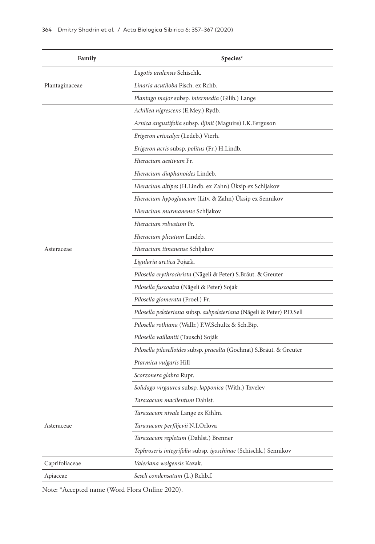| Family         | Species*                                                              |
|----------------|-----------------------------------------------------------------------|
|                | Lagotis uralensis Schischk.                                           |
| Plantaginaceae | Linaria acutiloba Fisch. ex Rchb.                                     |
|                | Plantago major subsp. intermedia (Gilib.) Lange                       |
|                | Achillea nigrescens (E.Mey.) Rydb.                                    |
|                | Arnica angustifolia subsp. iljinii (Maguire) I.K.Ferguson             |
|                | Erigeron eriocalyx (Ledeb.) Vierh.                                    |
|                | <i>Erigeron acris</i> subsp. <i>politus</i> (Fr.) H.Lindb.            |
|                | Hieracium aestivum Fr.                                                |
|                | Hieracium diaphanoides Lindeb.                                        |
|                | <i>Hieracium altipes</i> (H.Lindb. ex Zahn) Üksip ex Schljakov        |
|                | <i>Hieracium hypoglaucum</i> (Litv. & Zahn) Üksip ex Sennikov         |
|                | <i>Hieracium murmanense</i> Schljakov                                 |
|                | Hieracium robustum Fr.                                                |
|                | Hieracium plicatum Lindeb.                                            |
| Asteraceae     | Hieracium timanense Schljakov                                         |
|                | Ligularia arctica Pojark.                                             |
|                | Pilosella erythrochrista (Nägeli & Peter) S.Bräut. & Greuter          |
|                | Pilosella fuscoatra (Nägeli & Peter) Soják                            |
|                | Pilosella glomerata (Froel.) Fr.                                      |
|                | Pilosella peleteriana subsp. subpeleteriana (Nägeli & Peter) P.D.Sell |
|                | <i>Pilosella rothiana</i> (Wallr.) F.W.Schultz & Sch.Bip.             |
|                | Pilosella vaillantii (Tausch) Soják                                   |
|                | Pilosella piloselloides subsp. praealta (Gochnat) S.Bräut. & Greuter  |
|                | Ptarmica vulgaris Hill                                                |
|                | Scorzonera glabra Rupr.                                               |
|                | Solidago virgaurea subsp. lapponica (With.) Tzvelev                   |
|                | <i>Taraxacum macilentum</i> Dahlst.                                   |
|                | Taraxacum nivale Lange ex Kihlm.                                      |
| Asteraceae     | Taraxacum perfiljevii N.I.Orlova                                      |
|                | Taraxacum repletum (Dahlst.) Brenner                                  |
|                | Tephroseris integrifolia subsp. igoschinae (Schischk.) Sennikov       |
| Caprifoliaceae | Valeriana wolgensis Kazak.                                            |
| Apiaceae       | Seseli condensatum (L.) Rchb.f.                                       |

Note: \*Accepted name (Word Flora Online 2020).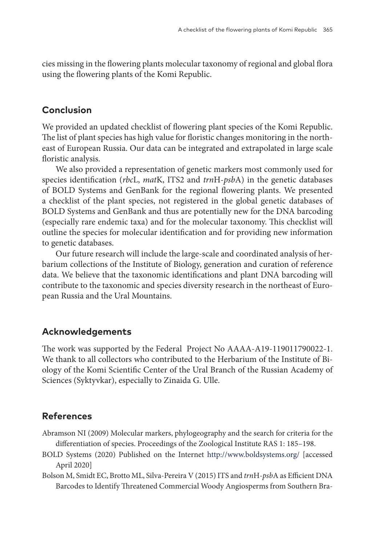cies missing in the flowering plants molecular taxonomy of regional and global flora using the flowering plants of the Komi Republic.

### **Conclusion**

We provided an updated checklist of flowering plant species of the Komi Republic. The list of plant species has high value for floristic changes monitoring in the northeast of European Russia. Our data can be integrated and extrapolated in large scale floristic analysis.

We also provided a representation of genetic markers most commonly used for species identification (*rbc*L, *mat*K, ITS2 and *trn*H-*psb*A) in the genetic databases of BOLD Systems and GenBank for the regional flowering plants. We presented a checklist of the plant species, not registered in the global genetic databases of BOLD Systems and GenBank and thus are potentially new for the DNA barcoding (especially rare endemic taxa) and for the molecular taxonomy. This checklist will outline the species for molecular identification and for providing new information to genetic databases.

Our future research will include the large-scale and coordinated analysis of herbarium collections of the Institute of Biology, generation and curation of reference data. We believe that the taxonomic identifications and plant DNA barcoding will contribute to the taxonomic and species diversity research in the northeast of European Russia and the Ural Mountains.

#### **Acknowledgements**

The work was supported by the Federal Project No АААА-А19-119011790022-1. We thank to all collectors who contributed to the Herbarium of the Institute of Biology of the Komi Scientific Center of the Ural Branch of the Russian Academy of Sciences (Syktyvkar), especially to Zinaida G. Ulle.

## **References**

- Abramson NI (2009) Molecular markers, phylogeography and the search for criteria for the differentiation of species. Proceedings of the Zoological Institute RAS 1: 185–198.
- BOLD Systems (2020) Published on the Internet <http://www.boldsystems.org/>[accessed April 2020]
- Bolson M, Smidt EC, Brotto ML, Silva-Pereira V (2015) ITS and *trn*H-*psb*A as Efficient DNA Barcodes to Identify Threatened Commercial Woody Angiosperms from Southern Bra-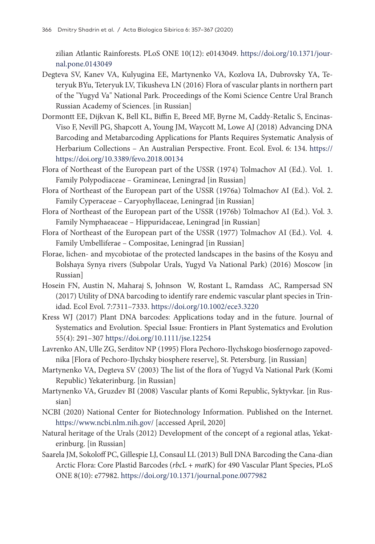zilian Atlantic Rainforests. PLoS ONE 10(12): e0143049. [https://doi.org/10.1371/jour](https://doi.org/10.1371/journal.pone.0143049)[nal.pone.0143049](https://doi.org/10.1371/journal.pone.0143049)

- Degteva SV, Kanev VA, Kulyugina EE, Martynenko VA, Kozlova IA, Dubrovsky YA, Teteryuk BYu, Teteryuk LV, Tikusheva LN (2016) Flora of vascular plants in northern part of the "Yugyd Va" National Park. Proceedings of the Komi Science Centre Ural Branch Russian Academy of Sciences. [in Russian]
- Dormontt EE, Dijkvan K, Bell KL, Biffin E, Breed MF, Byrne M, Caddy-Retalic S, Encinas-Viso F, Nevill PG, Shapcott A, Young JM, Waycott M, Lowe AJ (2018) Advancing DNA Barcoding and Metabarcoding Applications for Plants Requires Systematic Analysis of Herbarium Collections – An Australian Perspective. Front. Ecol. Evol. 6: 134. [https://](https://https://doi.org/10.3389/fevo.2018.00134) [https://doi.org/10.3389/fevo.2018.00134](https://https://doi.org/10.3389/fevo.2018.00134)
- Flora of Northeast of the European part of the USSR (1974) Tolmachov AI (Ed.). Vol. 1. Family Polypodiaceae – Gramineae, Leningrad [in Russian]
- Flora of Northeast of the European part of the USSR (1976a) Tolmachov AI (Ed.). Vol. 2. Family Cyperaceae – Caryophyllaceae, Leningrad [in Russian]
- Flora of Northeast of the European part of the USSR (1976b) Tolmachov AI (Ed.). Vol. 3. Family Nymphaeaceae – Hippuridaceae, Leningrad [in Russian]
- Flora of Northeast of the European part of the USSR (1977) Tolmachov AI (Ed.). Vol. 4. Family Umbelliferae – Compositae, Leningrad [in Russian]
- Florae, lichen- and mycobiotae of the protected landscapes in the basins of the Kosyu and Bolshaya Synya rivers (Subpolar Urals, Yugyd Va National Park) (2016) Moscow [in Russian]
- Hosein FN, Austin N, Maharaj S, Johnson W, Rostant L, Ramdass AC, Rampersad SN (2017) Utility of DNA barcoding to identify rare endemic vascular plant species in Trinidad. Ecol Evol. 7:7311–7333. <https://doi.org/10.1002/ece3.3220>
- Kress WJ (2017) Plant DNA barcodes: Applications today and in the future. Journal of Systematics and Evolution. Special Issue: Frontiers in Plant Systematics and Evolution 55(4): 291–307 <https://doi.org/10.1111/jse.12254>
- Lavrenko AN, Ulle ZG, Serditov NP (1995) Flora Pechoro-Ilychskogo biosfernogo zapovednika [Flora of Pechoro-Ilychsky biosphere reserve], St. Petersburg. [in Russian]
- Martynenko VA, Degteva SV (2003) The list of the flora of Yugyd Va National Park (Komi Republic) Yekaterinburg. [in Russian]
- Martynenko VA, Gruzdev BI (2008) Vascular plants of Komi Republic, Syktyvkar. [in Russian]
- NCBI (2020) National Center for Biotechnology Information. Published on the Internet. <https://www.ncbi.nlm.nih.gov/>[accessed April, 2020]
- Natural heritage of the Urals (2012) Development of the concept of a regional atlas, Yekaterinburg. [in Russian]
- Saarela JM, Sokoloff PC, Gillespie LJ, Consaul LL (2013) Bull DNA Barcoding the Cana-dian Arctic Flora: Core Plastid Barcodes (*rbc*L + *mat*K) for 490 Vascular Plant Species, PLoS ONE 8(10): e77982. <https://doi.org/10.1371/journal.pone.0077982>